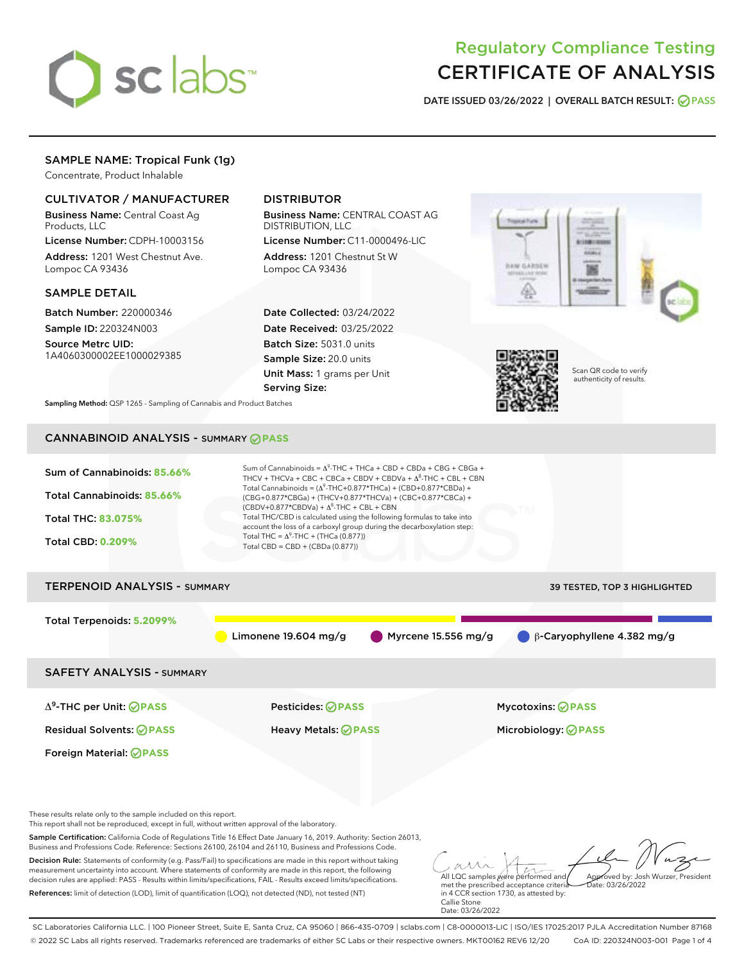

# Regulatory Compliance Testing CERTIFICATE OF ANALYSIS

DATE ISSUED 03/26/2022 | OVERALL BATCH RESULT: @ PASS

## SAMPLE NAME: Tropical Funk (1g)

Concentrate, Product Inhalable

### CULTIVATOR / MANUFACTURER

Business Name: Central Coast Ag Products, LLC

License Number: CDPH-10003156 Address: 1201 West Chestnut Ave. Lompoc CA 93436

### SAMPLE DETAIL

Batch Number: 220000346 Sample ID: 220324N003

Source Metrc UID: 1A4060300002EE1000029385

# DISTRIBUTOR

Business Name: CENTRAL COAST AG DISTRIBUTION, LLC

License Number: C11-0000496-LIC Address: 1201 Chestnut St W Lompoc CA 93436

Date Collected: 03/24/2022 Date Received: 03/25/2022 Batch Size: 5031.0 units Sample Size: 20.0 units Unit Mass: 1 grams per Unit Serving Size:





Scan QR code to verify authenticity of results.

Sampling Method: QSP 1265 - Sampling of Cannabis and Product Batches

# CANNABINOID ANALYSIS - SUMMARY **PASS**



References: limit of detection (LOD), limit of quantification (LOQ), not detected (ND), not tested (NT)

in 4 CCR section 1730, as attested by: Callie Stone Date: 03/26/2022

SC Laboratories California LLC. | 100 Pioneer Street, Suite E, Santa Cruz, CA 95060 | 866-435-0709 | sclabs.com | C8-0000013-LIC | ISO/IES 17025:2017 PJLA Accreditation Number 87168 © 2022 SC Labs all rights reserved. Trademarks referenced are trademarks of either SC Labs or their respective owners. MKT00162 REV6 12/20 CoA ID: 220324N003-001 Page 1 of 4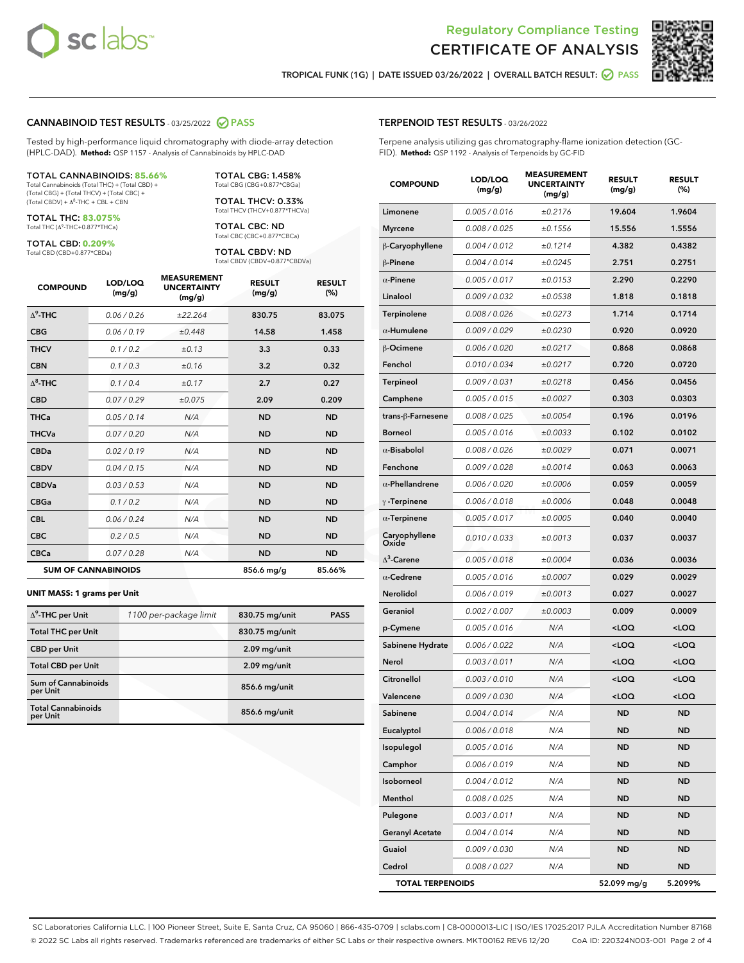



TROPICAL FUNK (1G) | DATE ISSUED 03/26/2022 | OVERALL BATCH RESULT: 2 PASS

### CANNABINOID TEST RESULTS - 03/25/2022 2 PASS

Tested by high-performance liquid chromatography with diode-array detection (HPLC-DAD). **Method:** QSP 1157 - Analysis of Cannabinoids by HPLC-DAD

#### TOTAL CANNABINOIDS: **85.66%**

Total Cannabinoids (Total THC) + (Total CBD) + (Total CBG) + (Total THCV) + (Total CBC) +  $(Total CBDV) +  $\Delta^8$ -THC + CBL + CBN$ 

TOTAL THC: **83.075%** Total THC (Δ<sup>9</sup> -THC+0.877\*THCa)

TOTAL CBD: **0.209%** Total CBD (CBD+0.877\*CBDa)

TOTAL CBG: 1.458% Total CBG (CBG+0.877\*CBGa)

TOTAL THCV: 0.33% Total THCV (THCV+0.877\*THCVa)

TOTAL CBC: ND Total CBC (CBC+0.877\*CBCa)

TOTAL CBDV: ND Total CBDV (CBDV+0.877\*CBDVa)

| <b>COMPOUND</b>  | LOD/LOQ<br>(mg/g)          | <b>MEASUREMENT</b><br><b>UNCERTAINTY</b><br>(mg/g) | <b>RESULT</b><br>(mg/g) | <b>RESULT</b><br>(%) |
|------------------|----------------------------|----------------------------------------------------|-------------------------|----------------------|
| $\Lambda^9$ -THC | 0.06/0.26                  | ±22.264                                            | 830.75                  | 83.075               |
| <b>CBG</b>       | 0.06/0.19                  | ±0.448                                             | 14.58                   | 1.458                |
| <b>THCV</b>      | 0.1/0.2                    | ±0.13                                              | 3.3                     | 0.33                 |
| <b>CBN</b>       | 0.1/0.3                    | ±0.16                                              | 3.2                     | 0.32                 |
| $\Delta^8$ -THC  | 0.1/0.4                    | ±0.17                                              | 2.7                     | 0.27                 |
| <b>CBD</b>       | 0.07/0.29                  | ±0.075                                             | 2.09                    | 0.209                |
| <b>THCa</b>      | 0.05/0.14                  | N/A                                                | <b>ND</b>               | <b>ND</b>            |
| <b>THCVa</b>     | 0.07/0.20                  | N/A                                                | <b>ND</b>               | <b>ND</b>            |
| <b>CBDa</b>      | 0.02/0.19                  | N/A                                                | <b>ND</b>               | <b>ND</b>            |
| <b>CBDV</b>      | 0.04 / 0.15                | N/A                                                | <b>ND</b>               | <b>ND</b>            |
| <b>CBDVa</b>     | 0.03/0.53                  | N/A                                                | <b>ND</b>               | <b>ND</b>            |
| <b>CBGa</b>      | 0.1/0.2                    | N/A                                                | <b>ND</b>               | <b>ND</b>            |
| <b>CBL</b>       | 0.06 / 0.24                | N/A                                                | <b>ND</b>               | <b>ND</b>            |
| <b>CBC</b>       | 0.2 / 0.5                  | N/A                                                | <b>ND</b>               | <b>ND</b>            |
| <b>CBCa</b>      | 0.07/0.28                  | N/A                                                | <b>ND</b>               | <b>ND</b>            |
|                  | <b>SUM OF CANNABINOIDS</b> |                                                    | 856.6 mg/g              | 85.66%               |

#### **UNIT MASS: 1 grams per Unit**

| $\Delta^9$ -THC per Unit              | 1100 per-package limit | 830.75 mg/unit | <b>PASS</b> |
|---------------------------------------|------------------------|----------------|-------------|
| <b>Total THC per Unit</b>             |                        | 830.75 mg/unit |             |
| <b>CBD per Unit</b>                   |                        | $2.09$ mg/unit |             |
| <b>Total CBD per Unit</b>             |                        | 2.09 mg/unit   |             |
| Sum of Cannabinoids<br>per Unit       |                        | 856.6 mg/unit  |             |
| <b>Total Cannabinoids</b><br>per Unit |                        | 856.6 mg/unit  |             |

|             | <b>COMPOUND</b>        | LOD/LOQ<br>(mg/g) | <b>MEASUREMENT</b><br><b>UNCERTAINTY</b><br>(mg/g) | <b>RESULT</b><br>(mg/g)                          | <b>RESULT</b><br>(%) |
|-------------|------------------------|-------------------|----------------------------------------------------|--------------------------------------------------|----------------------|
|             | Limonene               | 0.005 / 0.016     | ±0.2176                                            | 19.604                                           | 1.9604               |
|             | <b>Myrcene</b>         | 0.008 / 0.025     | ±0.1556                                            | 15.556                                           | 1.5556               |
|             | β-Caryophyllene        | 0.004 / 0.012     | ±0.1214                                            | 4.382                                            | 0.4382               |
|             | $\beta$ -Pinene        | 0.004 / 0.014     | ±0.0245                                            | 2.751                                            | 0.2751               |
| ULT         | $\alpha$ -Pinene       | 0.005 / 0.017     | ±0.0153                                            | 2.290                                            | 0.2290               |
| 6)          | Linalool               | 0.009 / 0.032     | ±0.0538                                            | 1.818                                            | 0.1818               |
| )75         | Terpinolene            | 0.008 / 0.026     | ±0.0273                                            | 1.714                                            | 0.1714               |
| 58          | $\alpha$ -Humulene     | 0.009/0.029       | ±0.0230                                            | 0.920                                            | 0.0920               |
| 33          | <b>B-Ocimene</b>       | 0.006 / 0.020     | ±0.0217                                            | 0.868                                            | 0.0868               |
| 32          | Fenchol                | 0.010 / 0.034     | ±0.0217                                            | 0.720                                            | 0.0720               |
| 27          | <b>Terpineol</b>       | 0.009 / 0.031     | ±0.0218                                            | 0.456                                            | 0.0456               |
| 09          | Camphene               | 0.005 / 0.015     | ±0.0027                                            | 0.303                                            | 0.0303               |
| D           | trans-ß-Farnesene      | 0.008 / 0.025     | ±0.0054                                            | 0.196                                            | 0.0196               |
| D           | <b>Borneol</b>         | 0.005 / 0.016     | ±0.0033                                            | 0.102                                            | 0.0102               |
| D           | $\alpha$ -Bisabolol    | 0.008 / 0.026     | ±0.0029                                            | 0.071                                            | 0.0071               |
| D           | Fenchone               | 0.009 / 0.028     | ±0.0014                                            | 0.063                                            | 0.0063               |
| D           | $\alpha$ -Phellandrene | 0.006 / 0.020     | ±0.0006                                            | 0.059                                            | 0.0059               |
| D           | $\gamma$ -Terpinene    | 0.006 / 0.018     | ±0.0006                                            | 0.048                                            | 0.0048               |
| D           | $\alpha$ -Terpinene    | 0.005 / 0.017     | ±0.0005                                            | 0.040                                            | 0.0040               |
| D           | Caryophyllene<br>Oxide | 0.010 / 0.033     | ±0.0013                                            | 0.037                                            | 0.0037               |
| D           | $\Delta^3$ -Carene     | 0.005 / 0.018     | ±0.0004                                            | 0.036                                            | 0.0036               |
| 6%          | $\alpha$ -Cedrene      | 0.005 / 0.016     | ±0.0007                                            | 0.029                                            | 0.0029               |
|             | <b>Nerolidol</b>       | 0.006 / 0.019     | ±0.0013                                            | 0.027                                            | 0.0027               |
| <b>PASS</b> | Geraniol               | 0.002 / 0.007     | ±0.0003                                            | 0.009                                            | 0.0009               |
|             | p-Cymene               | 0.005 / 0.016     | N/A                                                | <loq< td=""><td><loq< td=""></loq<></td></loq<>  | <loq< td=""></loq<>  |
|             | Sabinene Hydrate       | 0.006 / 0.022     | N/A                                                | <loq< td=""><td><loq< td=""></loq<></td></loq<>  | <loq< td=""></loq<>  |
|             | Nerol                  | 0.003 / 0.011     | N/A                                                | <loq< td=""><td><loq< td=""></loq<></td></loq<>  | <loq< td=""></loq<>  |
|             | Citronellol            | 0.003 / 0.010     | N/A                                                | <loq< td=""><td><loq< td=""></loq<></td></loq<>  | <loq< td=""></loq<>  |
|             | Valencene              | 0.009 / 0.030     | N/A                                                | <loq< td=""><td><math>&lt;</math>LOQ</td></loq<> | $<$ LOQ              |
|             |                        |                   |                                                    |                                                  |                      |

**Sabinene** 0.004 / 0.014 N/A ND ND ND Eucalyptol 0.006 / 0.018 N/A ND ND Isopulegol 0.005 / 0.016 N/A ND ND **Camphor 0.006/0.019 N/A ND ND** Isoborneol 0.004 / 0.012 N/A ND ND Menthol 0.008 / 0.025 N/A ND ND Pulegone 0.003/0.011 N/A ND ND Geranyl Acetate 0.004/0.014 N/A ND ND **Guaiol 0.009/0.030 N/A ND ND** Cedrol 0.008 / 0.027 N/A ND ND TOTAL TERPENOIDS 52.099 mg/g 5.2099%

### TERPENOID TEST RESULTS - 03/26/2022

Terpene analysis utilizing gas chromatography-flame ionization detection (GC-FID). **Method:** QSP 1192 - Analysis of Terpenoids by GC-FID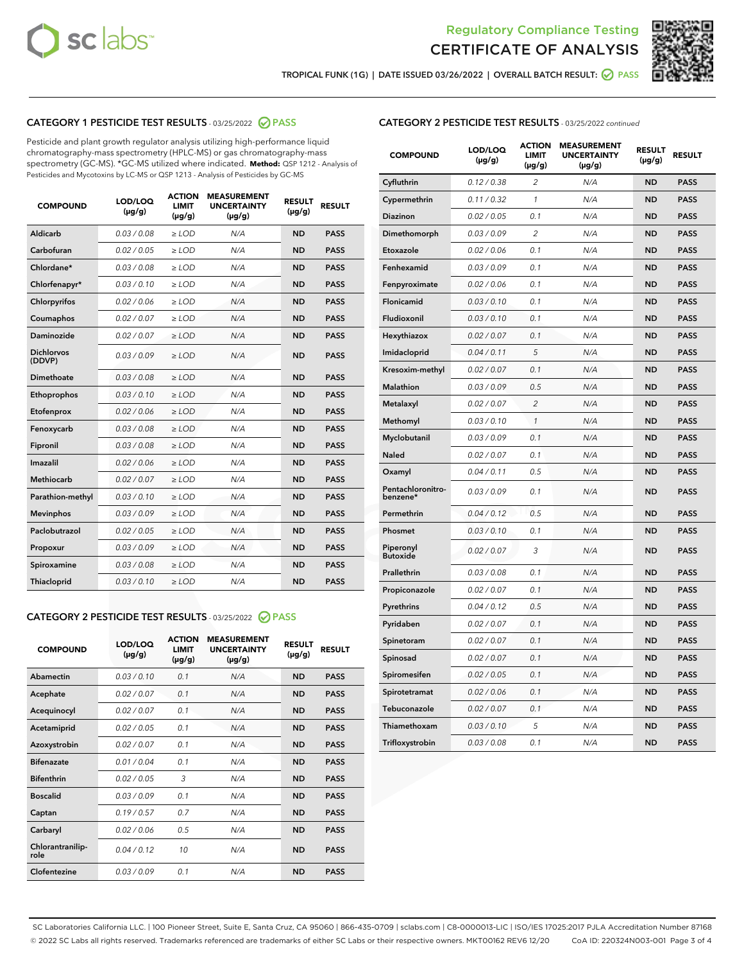



TROPICAL FUNK (1G) | DATE ISSUED 03/26/2022 | OVERALL BATCH RESULT: ● PASS

# CATEGORY 1 PESTICIDE TEST RESULTS - 03/25/2022 2 PASS

Pesticide and plant growth regulator analysis utilizing high-performance liquid chromatography-mass spectrometry (HPLC-MS) or gas chromatography-mass spectrometry (GC-MS). \*GC-MS utilized where indicated. **Method:** QSP 1212 - Analysis of Pesticides and Mycotoxins by LC-MS or QSP 1213 - Analysis of Pesticides by GC-MS

| <b>Aldicarb</b><br>0.03 / 0.08<br>$\geq$ LOD<br>N/A<br><b>ND</b>          | <b>PASS</b><br><b>PASS</b> |
|---------------------------------------------------------------------------|----------------------------|
|                                                                           |                            |
| Carbofuran<br>0.02 / 0.05<br>N/A<br><b>ND</b><br>$\ge$ LOD                |                            |
| Chlordane*<br>0.03 / 0.08<br>N/A<br><b>ND</b><br>$\ge$ LOD                | <b>PASS</b>                |
| Chlorfenapyr*<br>0.03 / 0.10<br>$\ge$ LOD<br>N/A<br><b>ND</b>             | <b>PASS</b>                |
| 0.02 / 0.06<br>N/A<br>Chlorpyrifos<br>$>$ LOD<br><b>ND</b>                | <b>PASS</b>                |
| 0.02 / 0.07<br>N/A<br>Coumaphos<br>$\ge$ LOD<br><b>ND</b>                 | <b>PASS</b>                |
| <b>Daminozide</b><br>N/A<br><b>ND</b><br>0.02 / 0.07<br>$\ge$ LOD         | <b>PASS</b>                |
| <b>Dichlorvos</b><br>0.03/0.09<br>N/A<br><b>ND</b><br>$\ge$ LOD<br>(DDVP) | <b>PASS</b>                |
| <b>Dimethoate</b><br>0.03 / 0.08<br>N/A<br><b>ND</b><br>$\ge$ LOD         | <b>PASS</b>                |
| <b>ND</b><br>Ethoprophos<br>0.03/0.10<br>$\ge$ LOD<br>N/A                 | <b>PASS</b>                |
| 0.02 / 0.06<br>N/A<br><b>ND</b><br>Etofenprox<br>$\ge$ LOD                | <b>PASS</b>                |
| 0.03 / 0.08<br>$>$ LOD<br>N/A<br><b>ND</b><br>Fenoxycarb                  | <b>PASS</b>                |
| 0.03 / 0.08<br>N/A<br><b>ND</b><br>Fipronil<br>$\ge$ LOD                  | <b>PASS</b>                |
| Imazalil<br>0.02/0.06<br>$>$ LOD<br>N/A<br><b>ND</b>                      | <b>PASS</b>                |
| <b>Methiocarb</b><br>0.02 / 0.07<br>$\ge$ LOD<br>N/A<br><b>ND</b>         | <b>PASS</b>                |
| N/A<br>Parathion-methyl<br>0.03/0.10<br>$>$ LOD<br><b>ND</b>              | <b>PASS</b>                |
| <b>Mevinphos</b><br>0.03/0.09<br>$\ge$ LOD<br>N/A<br><b>ND</b>            | <b>PASS</b>                |
| Paclobutrazol<br>0.02 / 0.05<br>$\geq$ LOD<br>N/A<br><b>ND</b>            | <b>PASS</b>                |
| 0.03/0.09<br>N/A<br><b>ND</b><br>$\ge$ LOD<br>Propoxur                    | <b>PASS</b>                |
| 0.03 / 0.08<br>N/A<br>Spiroxamine<br>$\ge$ LOD<br><b>ND</b>               | <b>PASS</b>                |
| Thiacloprid<br>0.03 / 0.10<br>N/A<br><b>ND</b><br>$\ge$ LOD               | <b>PASS</b>                |

# CATEGORY 2 PESTICIDE TEST RESULTS - 03/25/2022 @ PASS

| <b>COMPOUND</b>          | LOD/LOO<br>$(\mu g/g)$ | <b>ACTION</b><br>LIMIT<br>$(\mu g/g)$ | <b>MEASUREMENT</b><br><b>UNCERTAINTY</b><br>$(\mu g/g)$ | <b>RESULT</b><br>$(\mu g/g)$ | <b>RESULT</b> |
|--------------------------|------------------------|---------------------------------------|---------------------------------------------------------|------------------------------|---------------|
| Abamectin                | 0.03/0.10              | 0.1                                   | N/A                                                     | <b>ND</b>                    | <b>PASS</b>   |
| Acephate                 | 0.02/0.07              | 0.1                                   | N/A                                                     | <b>ND</b>                    | <b>PASS</b>   |
| Acequinocyl              | 0.02/0.07              | 0.1                                   | N/A                                                     | <b>ND</b>                    | <b>PASS</b>   |
| Acetamiprid              | 0.02/0.05              | 0.1                                   | N/A                                                     | <b>ND</b>                    | <b>PASS</b>   |
| Azoxystrobin             | 0.02/0.07              | 0.1                                   | N/A                                                     | <b>ND</b>                    | <b>PASS</b>   |
| <b>Bifenazate</b>        | 0.01/0.04              | 0.1                                   | N/A                                                     | <b>ND</b>                    | <b>PASS</b>   |
| <b>Bifenthrin</b>        | 0.02 / 0.05            | 3                                     | N/A                                                     | <b>ND</b>                    | <b>PASS</b>   |
| <b>Boscalid</b>          | 0.03/0.09              | 0.1                                   | N/A                                                     | <b>ND</b>                    | <b>PASS</b>   |
| Captan                   | 0.19/0.57              | 0.7                                   | N/A                                                     | <b>ND</b>                    | <b>PASS</b>   |
| Carbaryl                 | 0.02/0.06              | 0.5                                   | N/A                                                     | <b>ND</b>                    | <b>PASS</b>   |
| Chlorantranilip-<br>role | 0.04 / 0.12            | 10                                    | N/A                                                     | <b>ND</b>                    | <b>PASS</b>   |
| Clofentezine             | 0.03/0.09              | 0.1                                   | N/A                                                     | <b>ND</b>                    | <b>PASS</b>   |

## CATEGORY 2 PESTICIDE TEST RESULTS - 03/25/2022 continued

| <b>COMPOUND</b>               | LOD/LOQ<br>(µg/g) | <b>ACTION</b><br>LIMIT<br>$(\mu g/g)$ | <b>MEASUREMENT</b><br><b>UNCERTAINTY</b><br>$(\mu g/g)$ | <b>RESULT</b><br>(µg/g) | <b>RESULT</b> |
|-------------------------------|-------------------|---------------------------------------|---------------------------------------------------------|-------------------------|---------------|
| Cyfluthrin                    | 0.12 / 0.38       | $\overline{c}$                        | N/A                                                     | <b>ND</b>               | <b>PASS</b>   |
| Cypermethrin                  | 0.11 / 0.32       | 1                                     | N/A                                                     | <b>ND</b>               | <b>PASS</b>   |
| <b>Diazinon</b>               | 0.02 / 0.05       | 0.1                                   | N/A                                                     | <b>ND</b>               | <b>PASS</b>   |
| Dimethomorph                  | 0.03 / 0.09       | $\overline{2}$                        | N/A                                                     | <b>ND</b>               | <b>PASS</b>   |
| Etoxazole                     | 0.02 / 0.06       | 0.1                                   | N/A                                                     | <b>ND</b>               | <b>PASS</b>   |
| Fenhexamid                    | 0.03 / 0.09       | 0.1                                   | N/A                                                     | <b>ND</b>               | <b>PASS</b>   |
| Fenpyroximate                 | 0.02 / 0.06       | 0.1                                   | N/A                                                     | <b>ND</b>               | <b>PASS</b>   |
| <b>Flonicamid</b>             | 0.03 / 0.10       | 0.1                                   | N/A                                                     | <b>ND</b>               | <b>PASS</b>   |
| Fludioxonil                   | 0.03 / 0.10       | 0.1                                   | N/A                                                     | <b>ND</b>               | <b>PASS</b>   |
| Hexythiazox                   | 0.02 / 0.07       | 0.1                                   | N/A                                                     | <b>ND</b>               | <b>PASS</b>   |
| Imidacloprid                  | 0.04 / 0.11       | 5                                     | N/A                                                     | <b>ND</b>               | <b>PASS</b>   |
| Kresoxim-methyl               | 0.02 / 0.07       | 0.1                                   | N/A                                                     | <b>ND</b>               | <b>PASS</b>   |
| Malathion                     | 0.03 / 0.09       | 0.5                                   | N/A                                                     | <b>ND</b>               | <b>PASS</b>   |
| Metalaxyl                     | 0.02 / 0.07       | $\overline{c}$                        | N/A                                                     | <b>ND</b>               | <b>PASS</b>   |
| Methomyl                      | 0.03 / 0.10       | $\mathcal{I}$                         | N/A                                                     | <b>ND</b>               | <b>PASS</b>   |
| Myclobutanil                  | 0.03 / 0.09       | 0.1                                   | N/A                                                     | <b>ND</b>               | <b>PASS</b>   |
| Naled                         | 0.02 / 0.07       | 0.1                                   | N/A                                                     | <b>ND</b>               | <b>PASS</b>   |
| Oxamyl                        | 0.04 / 0.11       | 0.5                                   | N/A                                                     | <b>ND</b>               | <b>PASS</b>   |
| Pentachloronitro-<br>benzene* | 0.03 / 0.09       | 0.1                                   | N/A                                                     | <b>ND</b>               | <b>PASS</b>   |
| Permethrin                    | 0.04 / 0.12       | 0.5                                   | N/A                                                     | <b>ND</b>               | <b>PASS</b>   |
| Phosmet                       | 0.03 / 0.10       | 0.1                                   | N/A                                                     | <b>ND</b>               | <b>PASS</b>   |
| Piperonyl<br><b>Butoxide</b>  | 0.02 / 0.07       | 3                                     | N/A                                                     | <b>ND</b>               | <b>PASS</b>   |
| Prallethrin                   | 0.03 / 0.08       | 0.1                                   | N/A                                                     | <b>ND</b>               | <b>PASS</b>   |
| Propiconazole                 | 0.02 / 0.07       | 0.1                                   | N/A                                                     | <b>ND</b>               | <b>PASS</b>   |
| Pyrethrins                    | 0.04 / 0.12       | 0.5                                   | N/A                                                     | <b>ND</b>               | <b>PASS</b>   |
| Pyridaben                     | 0.02 / 0.07       | 0.1                                   | N/A                                                     | <b>ND</b>               | <b>PASS</b>   |
| Spinetoram                    | 0.02 / 0.07       | 0.1                                   | N/A                                                     | ND                      | PASS          |
| Spinosad                      | 0.02 / 0.07       | 0.1                                   | N/A                                                     | <b>ND</b>               | <b>PASS</b>   |
| Spiromesifen                  | 0.02 / 0.05       | 0.1                                   | N/A                                                     | <b>ND</b>               | <b>PASS</b>   |
| Spirotetramat                 | 0.02 / 0.06       | 0.1                                   | N/A                                                     | <b>ND</b>               | <b>PASS</b>   |
| Tebuconazole                  | 0.02 / 0.07       | 0.1                                   | N/A                                                     | <b>ND</b>               | <b>PASS</b>   |
| Thiamethoxam                  | 0.03 / 0.10       | 5                                     | N/A                                                     | ND                      | <b>PASS</b>   |
| Trifloxystrobin               | 0.03 / 0.08       | 0.1                                   | N/A                                                     | ND                      | <b>PASS</b>   |

SC Laboratories California LLC. | 100 Pioneer Street, Suite E, Santa Cruz, CA 95060 | 866-435-0709 | sclabs.com | C8-0000013-LIC | ISO/IES 17025:2017 PJLA Accreditation Number 87168 © 2022 SC Labs all rights reserved. Trademarks referenced are trademarks of either SC Labs or their respective owners. MKT00162 REV6 12/20 CoA ID: 220324N003-001 Page 3 of 4